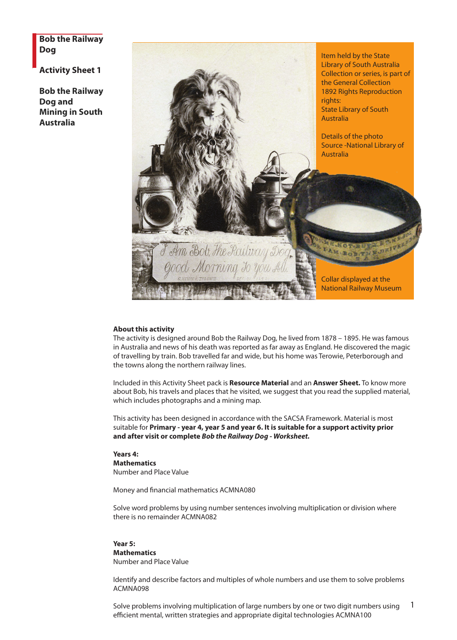**Bob the Railway Dog**

**Activity Sheet 1**

**Bob the Railway Dog and Mining in South Australia**



#### **About this activity**

The activity is designed around Bob the Railway Dog, he lived from 1878 – 1895. He was famous in Australia and news of his death was reported as far away as England. He discovered the magic of travelling by train. Bob travelled far and wide, but his home was Terowie, Peterborough and the towns along the northern railway lines.

Included in this Activity Sheet pack is **Resource Material** and an **Answer Sheet.** To know more about Bob, his travels and places that he visited, we suggest that you read the supplied material, which includes photographs and a mining map.

This activity has been designed in accordance with the SACSA Framework. Material is most suitable for **Primary - year 4, year 5 and year 6. It is suitable for a support activity prior and after visit or complete** *Bob the Railway Dog - Worksheet.*

**Years 4: Mathematics** Number and Place Value

Money and financial mathematics ACMNA080

Solve word problems by using number sentences involving multiplication or division where there is no remainder ACMNA082

#### **Year 5: Mathematics** Number and Place Value

Identify and describe factors and multiples of whole numbers and use them to solve problems ACMNA098

1 Solve problems involving multiplication of large numbers by one or two digit numbers using efficient mental, written strategies and appropriate digital technologies ACMNA100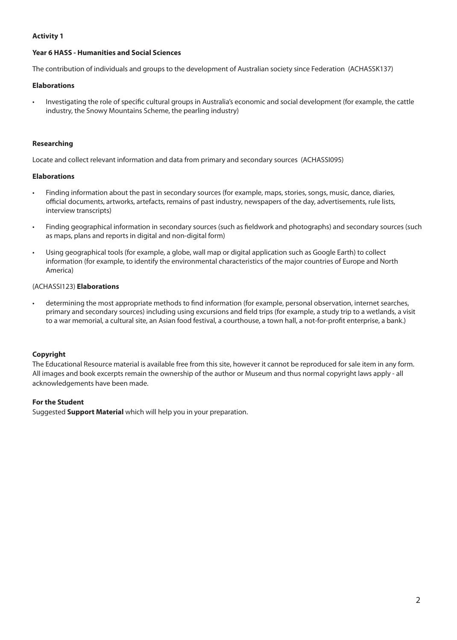#### **Activity 1**

#### **Year 6 HASS - Humanities and Social Sciences**

The contribution of individuals and groups to the development of Australian society since Federation (ACHASSK137)

#### **Elaborations**

Investigating the role of specific cultural groups in Australia's economic and social development (for example, the cattle industry, the Snowy Mountains Scheme, the pearling industry)

#### **Researching**

Locate and collect relevant information and data from primary and secondary sources (ACHASSI095)

#### **Elaborations**

- • Finding information about the past in secondary sources (for example, maps, stories, songs, music, dance, diaries, official documents, artworks, artefacts, remains of past industry, newspapers of the day, advertisements, rule lists, interview transcripts)
- • Finding geographical information in secondary sources (such as fieldwork and photographs) and secondary sources (such as maps, plans and reports in digital and non-digital form)
- • Using geographical tools (for example, a globe, wall map or digital application such as Google Earth) to collect information (for example, to identify the environmental characteristics of the major countries of Europe and North America)

#### (ACHASSI123) **Elaborations**

• determining the most appropriate methods to find information (for example, personal observation, internet searches, primary and secondary sources) including using excursions and field trips (for example, a study trip to a wetlands, a visit to a war memorial, a cultural site, an Asian food festival, a courthouse, a town hall, a not-for-profit enterprise, a bank.)

#### **Copyright**

The Educational Resource material is available free from this site, however it cannot be reproduced for sale item in any form. All images and book excerpts remain the ownership of the author or Museum and thus normal copyright laws apply - all acknowledgements have been made.

### **For the Student**

Suggested **Support Material** which will help you in your preparation.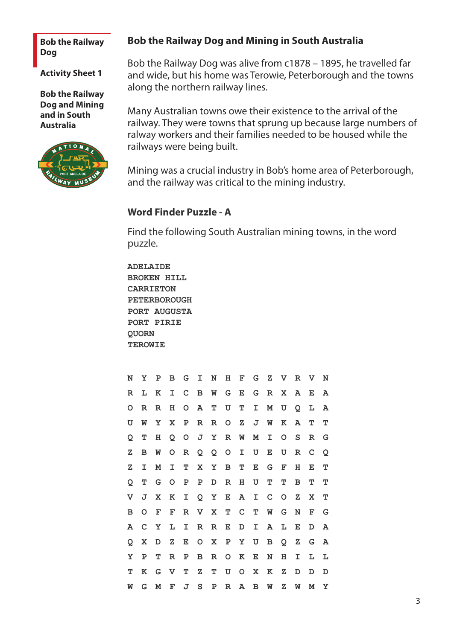### **Bob the Railway Dog**

**Activity Sheet 1**

**Bob the Railway Dog and Mining and in South Australia**



# **Bob the Railway Dog and Mining in South Australia**

Bob the Railway Dog was alive from c1878 – 1895, he travelled far and wide, but his home was Terowie, Peterborough and the towns along the northern railway lines.

Many Australian towns owe their existence to the arrival of the railway. They were towns that sprung up because large numbers of ralway workers and their families needed to be housed while the railways were being built.

Mining was a crucial industry in Bob's home area of Peterborough, and the railway was critical to the mining industry.

# **Word Finder Puzzle - A**

Find the following South Australian mining towns, in the word puzzle.

**ADELAIDE BROKEN HILL CARRIETON PETERBOROUGH PORT AUGUSTA PORT PIRIE QUORN TEROWIE**

| N | Υ           | P | в       | G             | I.          | N            | н              | F           | G           | $\mathbf{z}$ | $\mathbf{V}$ | $\mathbf R$  | $\mathbf v$ | N |
|---|-------------|---|---------|---------------|-------------|--------------|----------------|-------------|-------------|--------------|--------------|--------------|-------------|---|
| R | L           | K | I       | C             | B           | W            | G              | Е           | G           | $\mathbf R$  | $\mathbf{x}$ | A            | Е           | A |
| O | $\mathbf R$ | R | н       | O             | Α           | т            | U              | т           | I           | Μ            | U            | Q            | L           | A |
| U | W           | Y | X       | Р             | $\mathbf R$ | $\mathbf R$  | $\circ$        | $\mathbf z$ | J           | W            | К            | Α            | т           | т |
| Q | т           | н | Q       | O             |             | J Y          | R              | W           | М           | I            | $\circ$      | S            | R           | G |
| z | в           | W | O       | ${\mathbb R}$ | Q           | Q            | $\overline{O}$ | I           | U           | E            | U            | $\mathbb R$  | C           | Q |
| z | I           | M | I.      | т             | X.          | $\mathbf{Y}$ | в              | т           | Е           | G            | F            | н            | Е           | т |
| Q | т           | G | $\circ$ | Р             | Ρ           | D            | R              | н           | U           | т            | т            | в            | т           | т |
| V | J           | X | К       | I             |             | Q Y          | E              | Α           | $\mathbf I$ | $\mathbf C$  | $\circ$      | $\mathbf{Z}$ | X           | т |
| в | $\circ$     | F | F       | R             | $\mathbf V$ | X            | т              | $\mathbf C$ | т           | W            | G            | N            | F           | G |
| A | C           | Υ | L       | I             | R           | R            | Е              | D           | I.          | A            | L            | Е            | D           | A |
| Q | X           | D | z       | Е             | $\circ$     | $\mathbf X$  | $\mathbf{P}$   | Υ           | U           | в            | Q            | Ζ            | G           | A |
| Y | P           | т | R       | Р             | в           | R            | O              | К           | Е           | N            | н            | I            | L           | L |
| т | к           | G | V       | т             | z           | т            | U              | O           | X           | к            | z            | D            | D           | D |
| W | G           | M | F       | J             | S           | Р            | $\mathbf R$    | A           | в           | W            | z            | W            | м           | Υ |